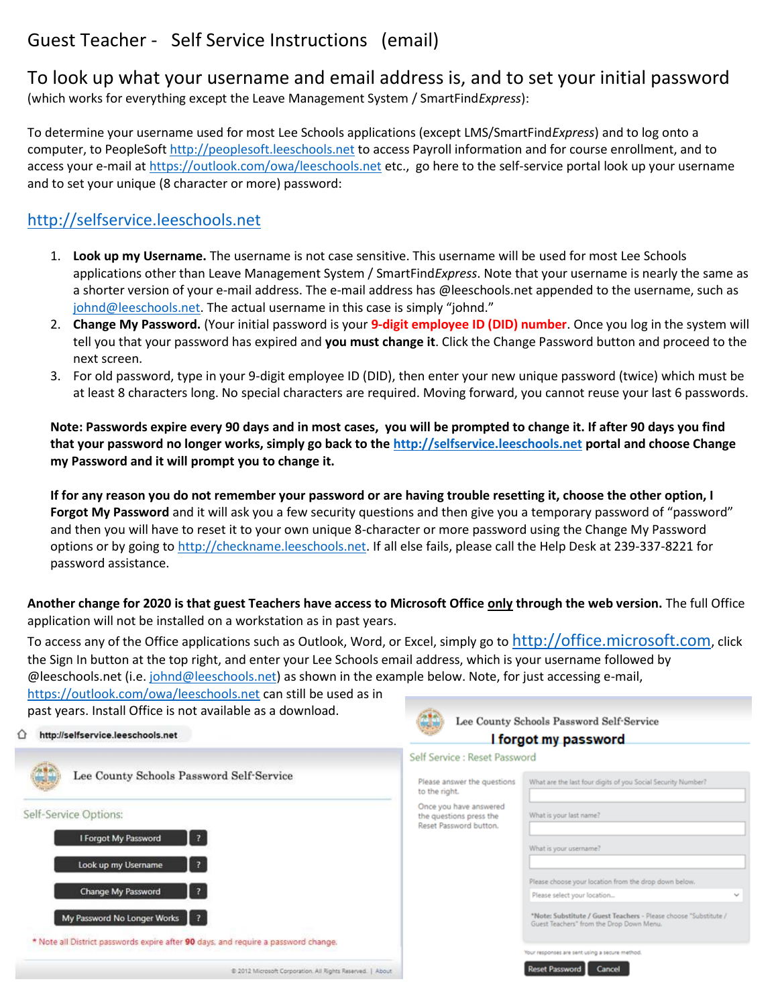## Guest Teacher - Self Service Instructions (email)

To look up what your username and email address is, and to set your initial password (which works for everything except the Leave Management System / SmartFind*Express*):

To determine your username used for most Lee Schools applications (except LMS/SmartFind*Express*) and to log onto a computer, to PeopleSof[t http://peoplesoft.leeschools.net](http://peoplesoft.leeschools.net/) to access Payroll information and for course enrollment, and to access your e-mail a[t https://outlook.com/owa/leeschools.net](https://outlook.com/owa/leeschools.net) etc., go here to the self-service portal look up your username and to set your unique (8 character or more) password:

## [http://selfservice.leeschools.net](http://selfservice.leeschools.net/)

- 1. **Look up my Username.** The username is not case sensitive. This username will be used for most Lee Schools applications other than Leave Management System / SmartFind*Express*. Note that your username is nearly the same as a shorter version of your e-mail address. The e-mail address has @leeschools.net appended to the username, such as [johnd@leeschools.net](mailto:johnd@leeschools.net). The actual username in this case is simply "johnd."
- 2. **Change My Password.** (Your initial password is your **9-digit employee ID (DID) number**. Once you log in the system will tell you that your password has expired and **you must change it**. Click the Change Password button and proceed to the next screen.
- 3. For old password, type in your 9-digit employee ID (DID), then enter your new unique password (twice) which must be at least 8 characters long. No special characters are required. Moving forward, you cannot reuse your last 6 passwords.

**Note: Passwords expire every 90 days and in most cases, you will be prompted to change it. If after 90 days you find that your password no longer works, simply go back to th[e http://selfservice.leeschools.net](http://selfservice.leeschools.net/) portal and choose Change my Password and it will prompt you to change it.** 

**If for any reason you do not remember your password or are having trouble resetting it, choose the other option, I Forgot My Password** and it will ask you a few security questions and then give you a temporary password of "password" and then you will have to reset it to your own unique 8-character or more password using the Change My Password options or by going to [http://checkname.leeschools.net.](http://checkname.leeschools.net/) If all else fails, please call the Help Desk at 239-337-8221 for password assistance.

**Another change for 2020 is that guest Teachers have access to Microsoft Office only through the web version.** The full Office application will not be installed on a workstation as in past years.

To access any of the Office applications such as Outlook, Word, or Excel, simply go to [http://office.microsoft.com](http://office.microsoft.com/), click the Sign In button at the top right, and enter your Lee Schools email address, which is your username followed by @leeschools.net (i.e[. johnd@leeschools.net\)](mailto:johnd@leeschools.net) as shown in the example below. Note, for just accessing e-mail,

Lee County Schools Password Self-Service

I forgot my password

<https://outlook.com/owa/leeschools.net> can still be used as in past years. Install Office is not available as a download.

## $\hat{\Omega}$  http://selfservice.leeschools.net

|                                                                                    | Self Service : Reset Password                     |                                                                                                              |
|------------------------------------------------------------------------------------|---------------------------------------------------|--------------------------------------------------------------------------------------------------------------|
| Lee County Schools Password Self-Service                                           | Please answer the questions<br>to the right.      | What are the last four digits of you Social Security Number?                                                 |
| Self-Service Options:                                                              | Once you have answered<br>the questions press the | What is your last name?                                                                                      |
|                                                                                    | Reset Password button.                            |                                                                                                              |
| $\vert$ ?<br>I Forgot My Password                                                  |                                                   | What is your username?                                                                                       |
| $\overline{3}$<br>Look up my Username                                              |                                                   |                                                                                                              |
|                                                                                    |                                                   | Please choose your location from the drop down below.                                                        |
| $\overline{z}$<br>Change My Password                                               |                                                   | Please select your location<br>w                                                                             |
| My Password No Longer Works   ?                                                    |                                                   | "Note: Substitute / Guest Teachers - Please choose "Substitute /<br>Guest Teachers" from the Drop Down Menu. |
| * Note all District passwords expire after 90 days, and require a password change. |                                                   |                                                                                                              |
|                                                                                    |                                                   | Your responses are sent using a secure method.                                                               |
| @ 2012 Microsoft Corporation. All Rights Reserved.   About                         |                                                   | <b>Reset Password</b><br>Cancel                                                                              |